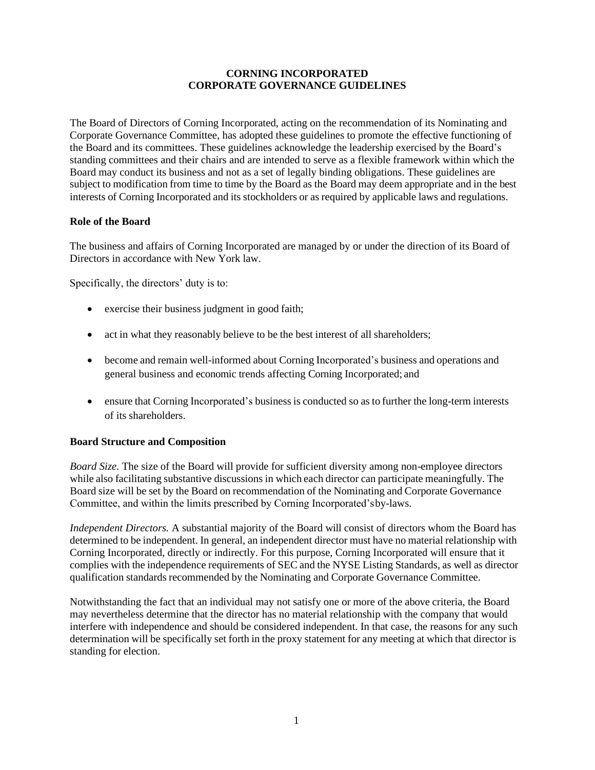## **CORNING INCORPORATED CORPORATE GOVERNANCE GUIDELINES**

The Board of Directors of Corning Incorporated, acting on the recommendation of its Nominating and Corporate Governance Committee, has adopted these guidelines to promote the effective functioning of the Board and its committees. These guidelines acknowledge the leadership exercised by the Board's standing committees and their chairs and are intended to serve as a flexible framework within which the Board may conduct its business and not as a set of legally binding obligations. These guidelines are subject to modification from time to time by the Board as the Board may deem appropriate and in the best interests of Corning Incorporated and its stockholders or as required by applicable laws and regulations.

# **Role of the Board**

The business and affairs of Corning Incorporated are managed by or under the direction of its Board of Directors in accordance with New York law.

Specifically, the directors' duty is to:

- exercise their business judgment in good faith;
- act in what they reasonably believe to be the best interest of all shareholders;
- become and remain well-informed about Corning Incorporated's business and operations and general business and economic trends affecting Corning Incorporated; and
- ensure that Corning Incorporated's business is conducted so as to further the long-term interests of its shareholders.

# **Board Structure and Composition**

*Board Size.* The size of the Board will provide for sufficient diversity among non-employee directors while also facilitating substantive discussions in which each director can participate meaningfully. The Board size will be set by the Board on recommendation of the Nominating and Corporate Governance Committee, and within the limits prescribed by Corning Incorporated'sby-laws.

*Independent Directors.* A substantial majority of the Board will consist of directors whom the Board has determined to be independent. In general, an independent director must have no material relationship with Corning Incorporated, directly or indirectly. For this purpose, Corning Incorporated will ensure that it complies with the independence requirements of SEC and the NYSE Listing Standards, as well as director qualification standards recommended by the Nominating and Corporate Governance Committee.

Notwithstanding the fact that an individual may not satisfy one or more of the above criteria, the Board may nevertheless determine that the director has no material relationship with the company that would interfere with independence and should be considered independent. In that case, the reasons for any such determination will be specifically set forth in the proxy statement for any meeting at which that director is standing for election.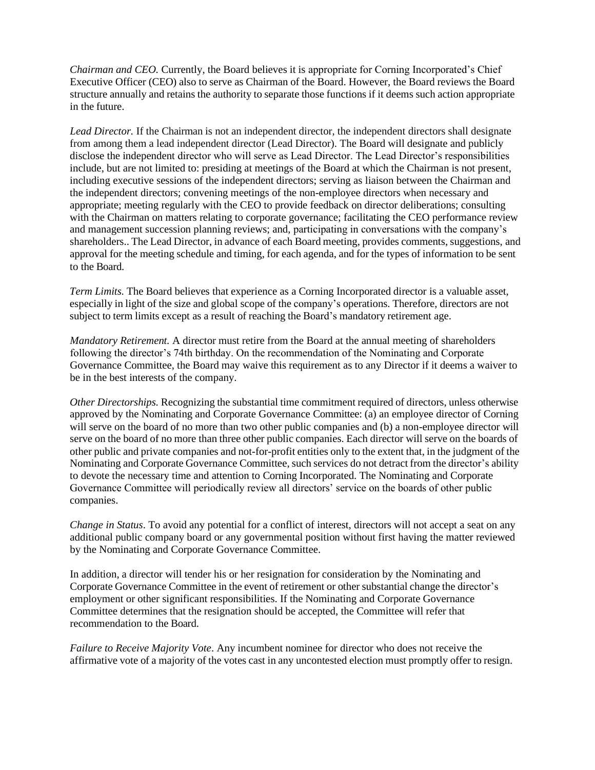*Chairman and CEO.* Currently, the Board believes it is appropriate for Corning Incorporated's Chief Executive Officer (CEO) also to serve as Chairman of the Board. However, the Board reviews the Board structure annually and retains the authority to separate those functions if it deems such action appropriate in the future.

*Lead Director.* If the Chairman is not an independent director, the independent directors shall designate from among them a lead independent director (Lead Director). The Board will designate and publicly disclose the independent director who will serve as Lead Director. The Lead Director's responsibilities include, but are not limited to: presiding at meetings of the Board at which the Chairman is not present, including executive sessions of the independent directors; serving as liaison between the Chairman and the independent directors; convening meetings of the non-employee directors when necessary and appropriate; meeting regularly with the CEO to provide feedback on director deliberations; consulting with the Chairman on matters relating to corporate governance; facilitating the CEO performance review and management succession planning reviews; and, participating in conversations with the company's shareholders.. The Lead Director, in advance of each Board meeting, provides comments, suggestions, and approval for the meeting schedule and timing, for each agenda, and for the types of information to be sent to the Board.

*Term Limits.* The Board believes that experience as a Corning Incorporated director is a valuable asset, especially in light of the size and global scope of the company's operations. Therefore, directors are not subject to term limits except as a result of reaching the Board's mandatory retirement age.

*Mandatory Retirement.* A director must retire from the Board at the annual meeting of shareholders following the director's 74th birthday. On the recommendation of the Nominating and Corporate Governance Committee, the Board may waive this requirement as to any Director if it deems a waiver to be in the best interests of the company.

*Other Directorships.* Recognizing the substantial time commitment required of directors, unless otherwise approved by the Nominating and Corporate Governance Committee: (a) an employee director of Corning will serve on the board of no more than two other public companies and (b) a non-employee director will serve on the board of no more than three other public companies. Each director will serve on the boards of other public and private companies and not-for-profit entities only to the extent that, in the judgment of the Nominating and Corporate Governance Committee, such services do not detract from the director's ability to devote the necessary time and attention to Corning Incorporated. The Nominating and Corporate Governance Committee will periodically review all directors' service on the boards of other public companies.

*Change in Status*. To avoid any potential for a conflict of interest, directors will not accept a seat on any additional public company board or any governmental position without first having the matter reviewed by the Nominating and Corporate Governance Committee.

In addition, a director will tender his or her resignation for consideration by the Nominating and Corporate Governance Committee in the event of retirement or other substantial change the director's employment or other significant responsibilities. If the Nominating and Corporate Governance Committee determines that the resignation should be accepted, the Committee will refer that recommendation to the Board.

*Failure to Receive Majority Vote*. Any incumbent nominee for director who does not receive the affirmative vote of a majority of the votes cast in any uncontested election must promptly offer to resign.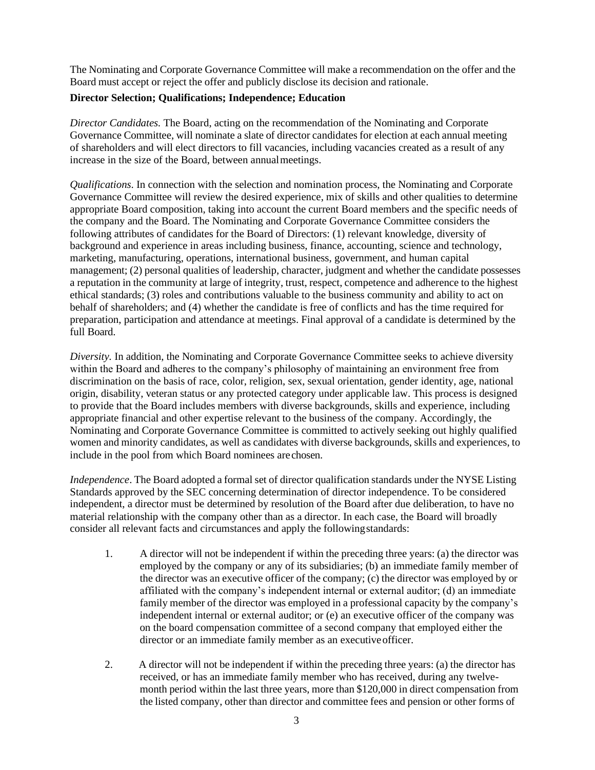The Nominating and Corporate Governance Committee will make a recommendation on the offer and the Board must accept or reject the offer and publicly disclose its decision and rationale.

### **Director Selection; Qualifications; Independence; Education**

*Director Candidates.* The Board, acting on the recommendation of the Nominating and Corporate Governance Committee, will nominate a slate of director candidates for election at each annual meeting of shareholders and will elect directors to fill vacancies, including vacancies created as a result of any increase in the size of the Board, between annualmeetings.

*Qualifications*. In connection with the selection and nomination process, the Nominating and Corporate Governance Committee will review the desired experience, mix of skills and other qualities to determine appropriate Board composition, taking into account the current Board members and the specific needs of the company and the Board. The Nominating and Corporate Governance Committee considers the following attributes of candidates for the Board of Directors: (1) relevant knowledge, diversity of background and experience in areas including business, finance, accounting, science and technology, marketing, manufacturing, operations, international business, government, and human capital management; (2) personal qualities of leadership, character, judgment and whether the candidate possesses a reputation in the community at large of integrity, trust, respect, competence and adherence to the highest ethical standards; (3) roles and contributions valuable to the business community and ability to act on behalf of shareholders; and (4) whether the candidate is free of conflicts and has the time required for preparation, participation and attendance at meetings. Final approval of a candidate is determined by the full Board.

*Diversity.* In addition, the Nominating and Corporate Governance Committee seeks to achieve diversity within the Board and adheres to the company's philosophy of maintaining an environment free from discrimination on the basis of race, color, religion, sex, sexual orientation, gender identity, age, national origin, disability, veteran status or any protected category under applicable law. This process is designed to provide that the Board includes members with diverse backgrounds, skills and experience, including appropriate financial and other expertise relevant to the business of the company. Accordingly, the Nominating and Corporate Governance Committee is committed to actively seeking out highly qualified women and minority candidates, as well as candidates with diverse backgrounds, skills and experiences, to include in the pool from which Board nominees arechosen.

*Independence*. The Board adopted a formal set of director qualification standards under the NYSE Listing Standards approved by the SEC concerning determination of director independence. To be considered independent, a director must be determined by resolution of the Board after due deliberation, to have no material relationship with the company other than as a director. In each case, the Board will broadly consider all relevant facts and circumstances and apply the followingstandards:

- 1. A director will not be independent if within the preceding three years: (a) the director was employed by the company or any of its subsidiaries; (b) an immediate family member of the director was an executive officer of the company; (c) the director was employed by or affiliated with the company's independent internal or external auditor; (d) an immediate family member of the director was employed in a professional capacity by the company's independent internal or external auditor; or (e) an executive officer of the company was on the board compensation committee of a second company that employed either the director or an immediate family member as an executiveofficer.
- 2. A director will not be independent if within the preceding three years: (a) the director has received, or has an immediate family member who has received, during any twelvemonth period within the last three years, more than \$120,000 in direct compensation from the listed company, other than director and committee fees and pension or other forms of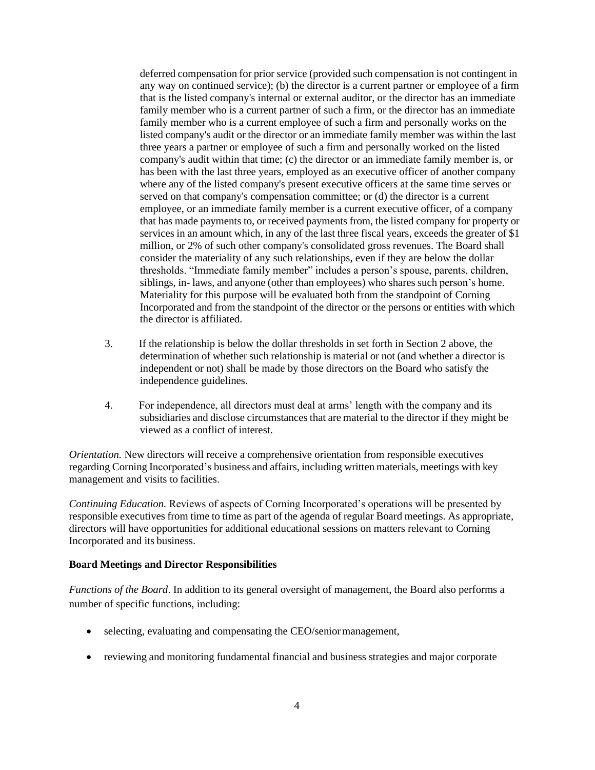deferred compensation for prior service (provided such compensation is not contingent in any way on continued service); (b) the director is a current partner or employee of a firm that is the listed company's internal or external auditor, or the director has an immediate family member who is a current partner of such a firm, or the director has an immediate family member who is a current employee of such a firm and personally works on the listed company's audit or the director or an immediate family member was within the last three years a partner or employee of such a firm and personally worked on the listed company's audit within that time; (c) the director or an immediate family member is, or has been with the last three years, employed as an executive officer of another company where any of the listed company's present executive officers at the same time serves or served on that company's compensation committee; or (d) the director is a current employee, or an immediate family member is a current executive officer, of a company that has made payments to, or received payments from, the listed company for property or services in an amount which, in any of the last three fiscal years, exceeds the greater of \$1 million, or 2% of such other company's consolidated gross revenues. The Board shall consider the materiality of any such relationships, even if they are below the dollar thresholds. "Immediate family member" includes a person's spouse, parents, children, siblings, in- laws, and anyone (other than employees) who shares such person's home. Materiality for this purpose will be evaluated both from the standpoint of Corning Incorporated and from the standpoint of the director or the persons or entities with which the director is affiliated.

- 3. If the relationship is below the dollar thresholds in set forth in Section 2 above, the determination of whether such relationship is material or not (and whether a director is independent or not) shall be made by those directors on the Board who satisfy the independence guidelines.
- 4. For independence, all directors must deal at arms' length with the company and its subsidiaries and disclose circumstances that are material to the director if they might be viewed as a conflict of interest.

*Orientation.* New directors will receive a comprehensive orientation from responsible executives regarding Corning Incorporated's business and affairs, including written materials, meetings with key management and visits to facilities.

*Continuing Education.* Reviews of aspects of Corning Incorporated's operations will be presented by responsible executives from time to time as part of the agenda of regular Board meetings. As appropriate, directors will have opportunities for additional educational sessions on matters relevant to Corning Incorporated and its business.

#### **Board Meetings and Director Responsibilities**

*Functions of the Board*. In addition to its general oversight of management, the Board also performs a number of specific functions, including:

- selecting, evaluating and compensating the CEO/senior management,
- reviewing and monitoring fundamental financial and business strategies and major corporate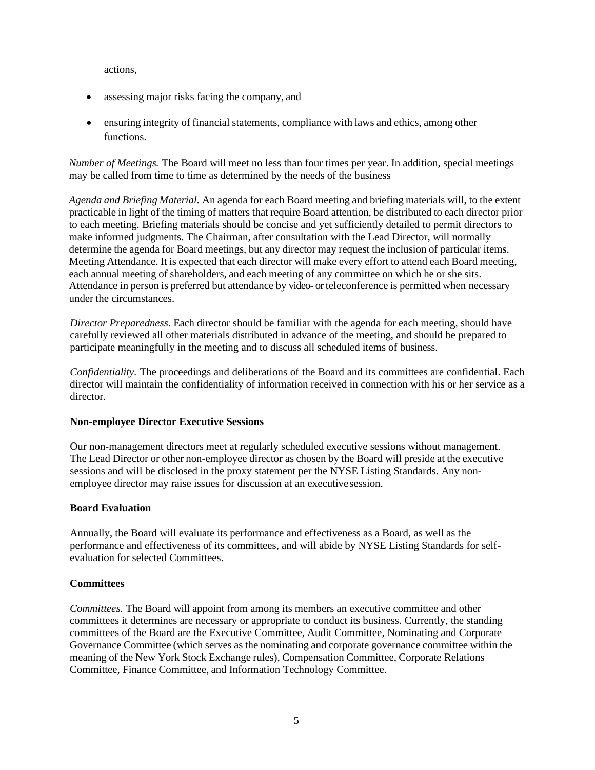actions,

- assessing major risks facing the company, and
- ensuring integrity of financial statements, compliance with laws and ethics, among other functions.

*Number of Meetings.* The Board will meet no less than four times per year. In addition, special meetings may be called from time to time as determined by the needs of the business

*Agenda and Briefing Material.* An agenda for each Board meeting and briefing materials will, to the extent practicable in light of the timing of matters that require Board attention, be distributed to each director prior to each meeting. Briefing materials should be concise and yet sufficiently detailed to permit directors to make informed judgments. The Chairman, after consultation with the Lead Director, will normally determine the agenda for Board meetings, but any director may request the inclusion of particular items. Meeting Attendance. It is expected that each director will make every effort to attend each Board meeting, each annual meeting of shareholders, and each meeting of any committee on which he or she sits. Attendance in person is preferred but attendance by video- or teleconference is permitted when necessary under the circumstances.

*Director Preparedness.* Each director should be familiar with the agenda for each meeting, should have carefully reviewed all other materials distributed in advance of the meeting, and should be prepared to participate meaningfully in the meeting and to discuss all scheduled items of business.

*Confidentiality.* The proceedings and deliberations of the Board and its committees are confidential. Each director will maintain the confidentiality of information received in connection with his or her service as a director.

### **Non-employee Director Executive Sessions**

Our non-management directors meet at regularly scheduled executive sessions without management. The Lead Director or other non-employee director as chosen by the Board will preside at the executive sessions and will be disclosed in the proxy statement per the NYSE Listing Standards. Any nonemployee director may raise issues for discussion at an executivesession.

### **Board Evaluation**

Annually, the Board will evaluate its performance and effectiveness as a Board, as well as the performance and effectiveness of its committees, and will abide by NYSE Listing Standards for selfevaluation for selected Committees.

### **Committees**

*Committees.* The Board will appoint from among its members an executive committee and other committees it determines are necessary or appropriate to conduct its business. Currently, the standing committees of the Board are the Executive Committee, Audit Committee, Nominating and Corporate Governance Committee (which serves as the nominating and corporate governance committee within the meaning of the New York Stock Exchange rules), Compensation Committee, Corporate Relations Committee, Finance Committee, and Information Technology Committee.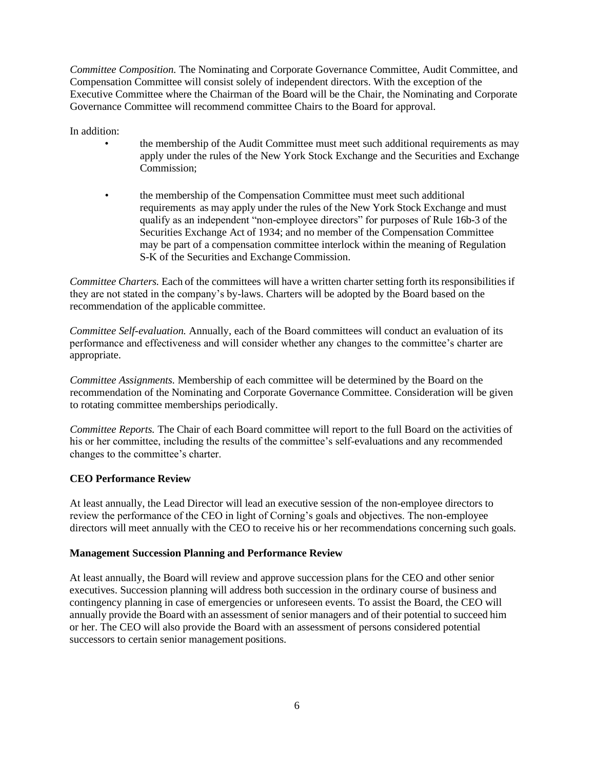*Committee Composition.* The Nominating and Corporate Governance Committee, Audit Committee, and Compensation Committee will consist solely of independent directors. With the exception of the Executive Committee where the Chairman of the Board will be the Chair, the Nominating and Corporate Governance Committee will recommend committee Chairs to the Board for approval.

In addition:

- the membership of the Audit Committee must meet such additional requirements as may apply under the rules of the New York Stock Exchange and the Securities and Exchange Commission;
- the membership of the Compensation Committee must meet such additional requirements as may apply under the rules of the New York Stock Exchange and must qualify as an independent "non-employee directors" for purposes of Rule 16b-3 of the Securities Exchange Act of 1934; and no member of the Compensation Committee may be part of a compensation committee interlock within the meaning of Regulation S-K of the Securities and Exchange Commission.

*Committee Charters.* Each of the committees will have a written charter setting forth its responsibilities if they are not stated in the company's by-laws. Charters will be adopted by the Board based on the recommendation of the applicable committee.

*Committee Self-evaluation.* Annually, each of the Board committees will conduct an evaluation of its performance and effectiveness and will consider whether any changes to the committee's charter are appropriate.

*Committee Assignments.* Membership of each committee will be determined by the Board on the recommendation of the Nominating and Corporate Governance Committee. Consideration will be given to rotating committee memberships periodically.

*Committee Reports.* The Chair of each Board committee will report to the full Board on the activities of his or her committee, including the results of the committee's self-evaluations and any recommended changes to the committee's charter.

# **CEO Performance Review**

At least annually, the Lead Director will lead an executive session of the non-employee directors to review the performance of the CEO in light of Corning's goals and objectives. The non-employee directors will meet annually with the CEO to receive his or her recommendations concerning such goals.

### **Management Succession Planning and Performance Review**

At least annually, the Board will review and approve succession plans for the CEO and other senior executives. Succession planning will address both succession in the ordinary course of business and contingency planning in case of emergencies or unforeseen events. To assist the Board, the CEO will annually provide the Board with an assessment of senior managers and of their potential to succeed him or her. The CEO will also provide the Board with an assessment of persons considered potential successors to certain senior management positions.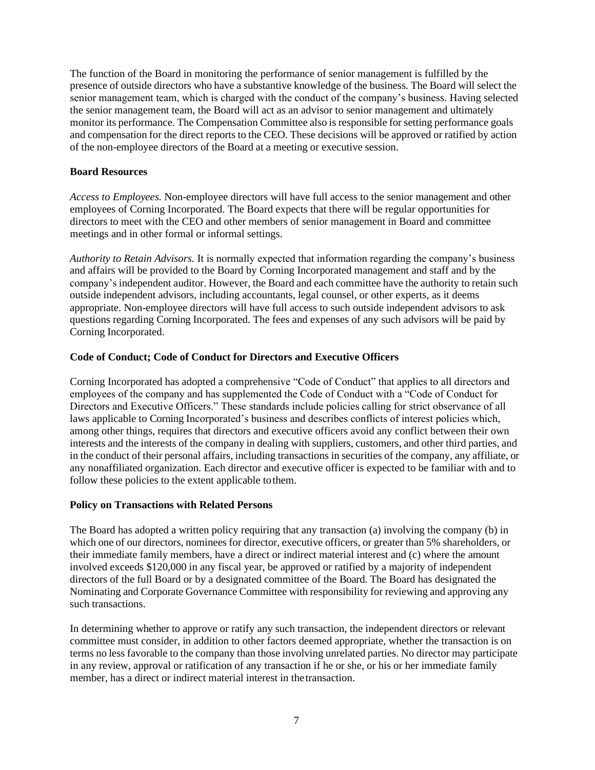The function of the Board in monitoring the performance of senior management is fulfilled by the presence of outside directors who have a substantive knowledge of the business. The Board will select the senior management team, which is charged with the conduct of the company's business. Having selected the senior management team, the Board will act as an advisor to senior management and ultimately monitor its performance. The Compensation Committee also is responsible for setting performance goals and compensation for the direct reports to the CEO. These decisions will be approved or ratified by action of the non-employee directors of the Board at a meeting or executive session.

#### **Board Resources**

*Access to Employees.* Non-employee directors will have full access to the senior management and other employees of Corning Incorporated. The Board expects that there will be regular opportunities for directors to meet with the CEO and other members of senior management in Board and committee meetings and in other formal or informal settings.

*Authority to Retain Advisors.* It is normally expected that information regarding the company's business and affairs will be provided to the Board by Corning Incorporated management and staff and by the company's independent auditor. However, the Board and each committee have the authority to retain such outside independent advisors, including accountants, legal counsel, or other experts, as it deems appropriate. Non-employee directors will have full access to such outside independent advisors to ask questions regarding Corning Incorporated. The fees and expenses of any such advisors will be paid by Corning Incorporated.

### **Code of Conduct; Code of Conduct for Directors and Executive Officers**

Corning Incorporated has adopted a comprehensive "Code of Conduct" that applies to all directors and employees of the company and has supplemented the Code of Conduct with a "Code of Conduct for Directors and Executive Officers." These standards include policies calling for strict observance of all laws applicable to Corning Incorporated's business and describes conflicts of interest policies which, among other things, requires that directors and executive officers avoid any conflict between their own interests and the interests of the company in dealing with suppliers, customers, and other third parties, and in the conduct of their personal affairs, including transactions in securities of the company, any affiliate, or any nonaffiliated organization. Each director and executive officer is expected to be familiar with and to follow these policies to the extent applicable tothem.

### **Policy on Transactions with Related Persons**

The Board has adopted a written policy requiring that any transaction (a) involving the company (b) in which one of our directors, nominees for director, executive officers, or greater than 5% shareholders, or their immediate family members, have a direct or indirect material interest and (c) where the amount involved exceeds \$120,000 in any fiscal year, be approved or ratified by a majority of independent directors of the full Board or by a designated committee of the Board. The Board has designated the Nominating and Corporate Governance Committee with responsibility for reviewing and approving any such transactions.

In determining whether to approve or ratify any such transaction, the independent directors or relevant committee must consider, in addition to other factors deemed appropriate, whether the transaction is on terms no less favorable to the company than those involving unrelated parties. No director may participate in any review, approval or ratification of any transaction if he or she, or his or her immediate family member, has a direct or indirect material interest in thetransaction.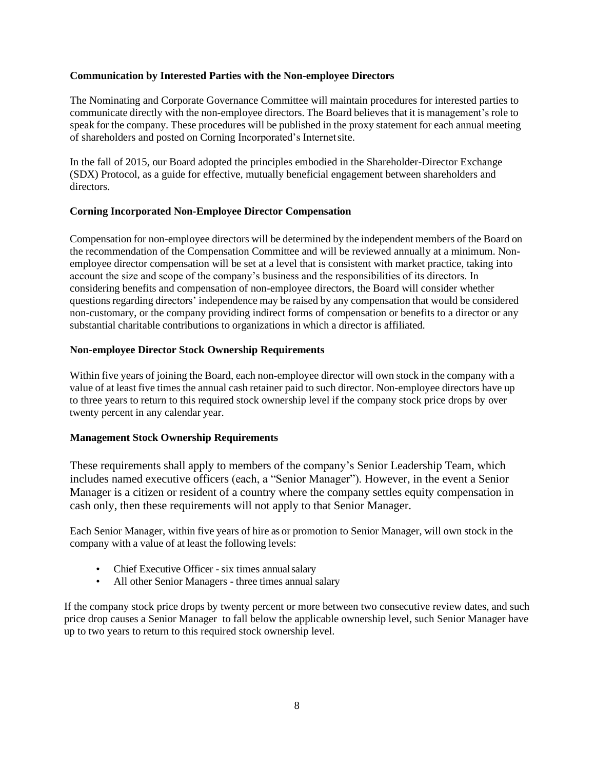#### **Communication by Interested Parties with the Non-employee Directors**

The Nominating and Corporate Governance Committee will maintain procedures for interested parties to communicate directly with the non-employee directors. The Board believes that it is management's role to speak for the company. These procedures will be published in the proxy statement for each annual meeting of shareholders and posted on Corning Incorporated's Internetsite.

In the fall of 2015, our Board adopted the principles embodied in the Shareholder-Director Exchange (SDX) Protocol, as a guide for effective, mutually beneficial engagement between shareholders and directors.

### **Corning Incorporated Non-Employee Director Compensation**

Compensation for non-employee directors will be determined by the independent members of the Board on the recommendation of the Compensation Committee and will be reviewed annually at a minimum. Nonemployee director compensation will be set at a level that is consistent with market practice, taking into account the size and scope of the company's business and the responsibilities of its directors. In considering benefits and compensation of non-employee directors, the Board will consider whether questions regarding directors' independence may be raised by any compensation that would be considered non-customary, or the company providing indirect forms of compensation or benefits to a director or any substantial charitable contributions to organizations in which a director is affiliated.

#### **Non-employee Director Stock Ownership Requirements**

Within five years of joining the Board, each non-employee director will own stock in the company with a value of at least five times the annual cash retainer paid to such director. Non-employee directors have up to three years to return to this required stock ownership level if the company stock price drops by over twenty percent in any calendar year.

#### **Management Stock Ownership Requirements**

These requirements shall apply to members of the company's Senior Leadership Team, which includes named executive officers (each, a "Senior Manager"). However, in the event a Senior Manager is a citizen or resident of a country where the company settles equity compensation in cash only, then these requirements will not apply to that Senior Manager.

Each Senior Manager, within five years of hire as or promotion to Senior Manager, will own stock in the company with a value of at least the following levels:

- Chief Executive Officer six times annual salary
- All other Senior Managers three times annual salary

If the company stock price drops by twenty percent or more between two consecutive review dates, and such price drop causes a Senior Manager to fall below the applicable ownership level, such Senior Manager have up to two years to return to this required stock ownership level.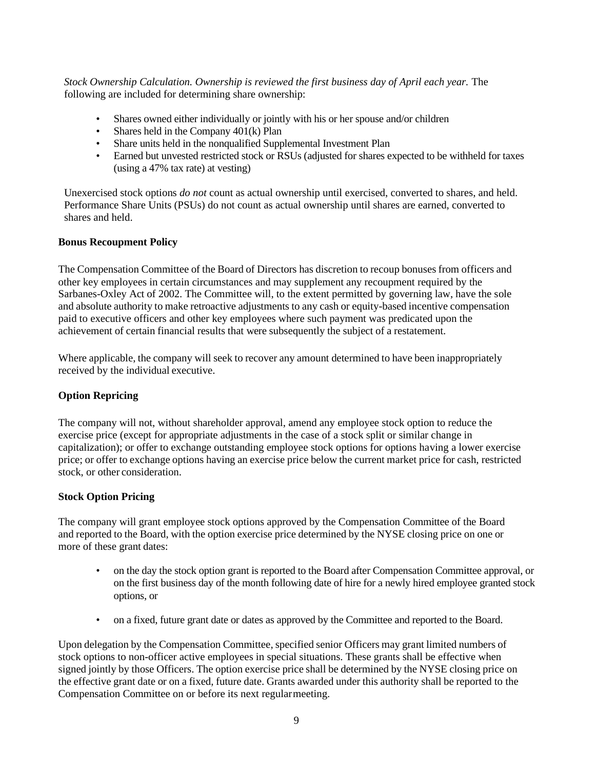*Stock Ownership Calculation. Ownership is reviewed the first business day of April each year.* The following are included for determining share ownership:

- Shares owned either individually or jointly with his or her spouse and/or children
- Shares held in the Company 401(k) Plan
- Share units held in the nonqualified Supplemental Investment Plan
- Earned but unvested restricted stock or RSUs (adjusted for shares expected to be withheld for taxes (using a 47% tax rate) at vesting)

Unexercised stock options *do not* count as actual ownership until exercised, converted to shares, and held. Performance Share Units (PSUs) do not count as actual ownership until shares are earned, converted to shares and held.

#### **Bonus Recoupment Policy**

The Compensation Committee of the Board of Directors has discretion to recoup bonuses from officers and other key employees in certain circumstances and may supplement any recoupment required by the Sarbanes-Oxley Act of 2002. The Committee will, to the extent permitted by governing law, have the sole and absolute authority to make retroactive adjustments to any cash or equity-based incentive compensation paid to executive officers and other key employees where such payment was predicated upon the achievement of certain financial results that were subsequently the subject of a restatement.

Where applicable, the company will seek to recover any amount determined to have been inappropriately received by the individual executive.

### **Option Repricing**

The company will not, without shareholder approval, amend any employee stock option to reduce the exercise price (except for appropriate adjustments in the case of a stock split or similar change in capitalization); or offer to exchange outstanding employee stock options for options having a lower exercise price; or offer to exchange options having an exercise price below the current market price for cash, restricted stock, or other consideration.

### **Stock Option Pricing**

The company will grant employee stock options approved by the Compensation Committee of the Board and reported to the Board, with the option exercise price determined by the NYSE closing price on one or more of these grant dates:

- on the day the stock option grant is reported to the Board after Compensation Committee approval, or on the first business day of the month following date of hire for a newly hired employee granted stock options, or
- on a fixed, future grant date or dates as approved by the Committee and reported to the Board.

Upon delegation by the Compensation Committee, specified senior Officers may grant limited numbers of stock options to non-officer active employees in special situations. These grants shall be effective when signed jointly by those Officers. The option exercise price shall be determined by the NYSE closing price on the effective grant date or on a fixed, future date. Grants awarded under this authority shall be reported to the Compensation Committee on or before its next regularmeeting.